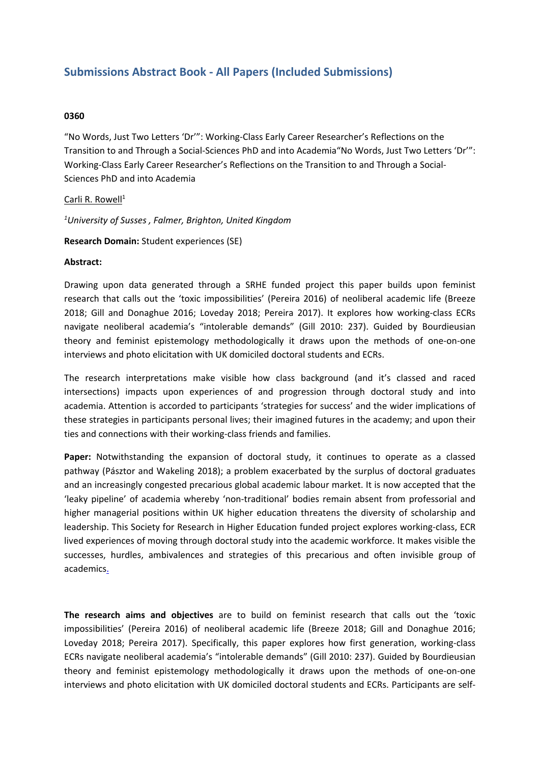# **Submissions Abstract Book - All Papers (Included Submissions)**

### **0360**

"No Words, Just Two Letters 'Dr'": Working-Class Early Career Researcher's Reflections on the Transition to and Through <sup>a</sup> Social-Sciences PhD and into Academia"No Words, Just Two Letters 'Dr'": Working-Class Early Career Researcher's Reflections on the Transition to and Through <sup>a</sup> Social-Sciences PhD and into Academia

#### Carli R. Rowell $^1$

*1 University of Susses , Falmer, Brighton, United Kingdom*

#### **Research Domain:** Student experiences (SE)

#### **Abstract:**

Drawing upon data generated through <sup>a</sup> SRHE funded project this paper builds upon feminist research that calls out the 'toxic impossibilities' (Pereira 2016) of neoliberal academic life (Breeze 2018; Gill and Donaghue 2016; Loveday 2018; Pereira 2017). It explores how working-class ECRs navigate neoliberal academia's "intolerable demands" (Gill 2010: 237). Guided by Bourdieusian theory and feminist epistemology methodologically it draws upon the methods of one-on-one interviews and photo elicitation with UK domiciled doctoral students and ECRs.

The research interpretations make visible how class background (and it's classed and raced intersections) impacts upon experiences of and progression through doctoral study and into academia. Attention is accorded to participants 'strategies for success' and the wider implications of these strategies in participants personal lives; their imagined futures in the academy; and upon their ties and connections with their working-class friends and families.

**Paper:** Notwithstanding the expansion of doctoral study, it continues to operate as <sup>a</sup> classed pathway (Pásztor and Wakeling 2018); <sup>a</sup> problem exacerbated by the surplus of doctoral graduates and an increasingly congested precarious global academic labour market. It is now accepted that the 'leaky pipeline' of academia whereby 'non-traditional' bodies remain absent from professorial and higher managerial positions within UK higher education threatens the diversity of scholarship and leadership. This Society for Research in Higher Education funded project explores working-class, ECR lived experiences of moving through doctoral study into the academic workforce. It makes visible the successes, hurdles, ambivalences and strategies of this precarious and often invisible group of academics.

**The research aims and objectives** are to build on feminist research that calls out the 'toxic impossibilities' (Pereira 2016) of neoliberal academic life (Breeze 2018; Gill and Donaghue 2016; Loveday 2018; Pereira 2017). Specifically, this paper explores how first generation, working-class ECRs navigate neoliberal academia's "intolerable demands" (Gill 2010: 237). Guided by Bourdieusian theory and feminist epistemology methodologically it draws upon the methods of one-on-one interviews and photo elicitation with UK domiciled doctoral students and ECRs. Participants are self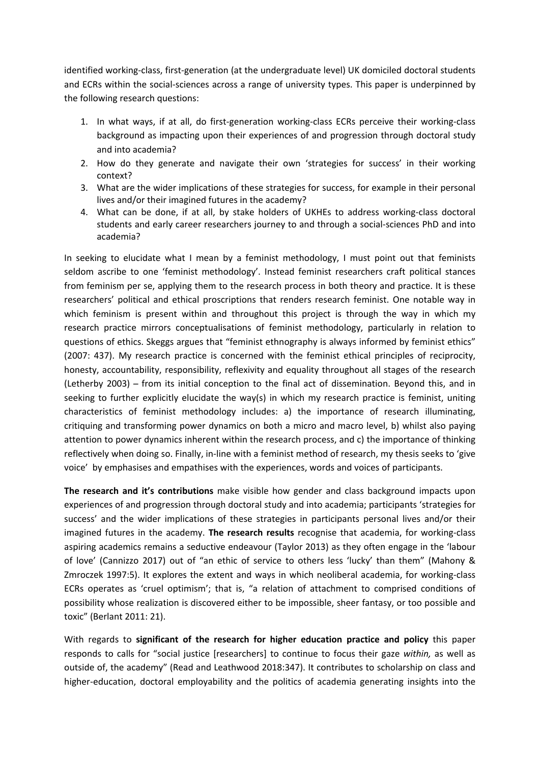identified working-class, first-generation (at the undergraduate level) UK domiciled doctoral students and ECRs within the social-sciences across <sup>a</sup> range of university types. This paper is underpinned by the following research questions:

- 1. In what ways, if at all, do first-generation working-class ECRs perceive their working-class background as impacting upon their experiences of and progression through doctoral study and into academia?
- 2. How do they generate and navigate their own 'strategies for success' in their working context?
- 3. What are the wider implications of these strategies for success, for example in their personal lives and/or their imagined futures in the academy?
- 4. What can be done, if at all, by stake holders of UKHEs to address working-class doctoral students and early career researchers journey to and through <sup>a</sup> social-sciences PhD and into academia?

In seeking to elucidate what I mean by <sup>a</sup> feminist methodology, I must point out that feminists seldom ascribe to one 'feminist methodology'. Instead feminist researchers craft political stances from feminism per se, applying them to the research process in both theory and practice. It is these researchers' political and ethical proscriptions that renders research feminist. One notable way in which feminism is present within and throughout this project is through the way in which my research practice mirrors conceptualisations of feminist methodology, particularly in relation to questions of ethics. Skeggs argues that "feminist ethnography is always informed by feminist ethics" (2007: 437). My research practice is concerned with the feminist ethical principles of reciprocity, honesty, accountability, responsibility, reflexivity and equality throughout all stages of the research (Letherby 2003) ̶ from its initial conception to the final act of dissemination. Beyond this, and in seeking to further explicitly elucidate the way(s) in which my research practice is feminist, uniting characteristics of feminist methodology includes: a) the importance of research illuminating, critiquing and transforming power dynamics on both <sup>a</sup> micro and macro level, b) whilst also paying attention to power dynamics inherent within the research process, and c) the importance of thinking reflectively when doing so. Finally, in-line with <sup>a</sup> feminist method of research, my thesis seeks to 'give voice' by emphasises and empathises with the experiences, words and voices of participants.

**The research and it's contributions** make visible how gender and class background impacts upon experiences of and progression through doctoral study and into academia; participants 'strategies for success' and the wider implications of these strategies in participants personal lives and/or their imagined futures in the academy. **The research results** recognise that academia, for working-class aspiring academics remains <sup>a</sup> seductive endeavour (Taylor 2013) as they often engage in the 'labour of love' (Cannizzo 2017) out of "an ethic of service to others less 'lucky' than them" (Mahony & Zmroczek 1997:5). It explores the extent and ways in which neoliberal academia, for working-class ECRs operates as 'cruel optimism'; that is, "a relation of attachment to comprised conditions of possibility whose realization is discovered either to be impossible, sheer fantasy, or too possible and toxic" (Berlant 2011: 21).

With regards to **significant of the research for higher education practice and policy** this paper responds to calls for "social justice [researchers] to continue to focus their gaze *within,* as well as outside of, the academy" (Read and Leathwood 2018:347). It contributes to scholarship on class and higher-education, doctoral employability and the politics of academia generating insights into the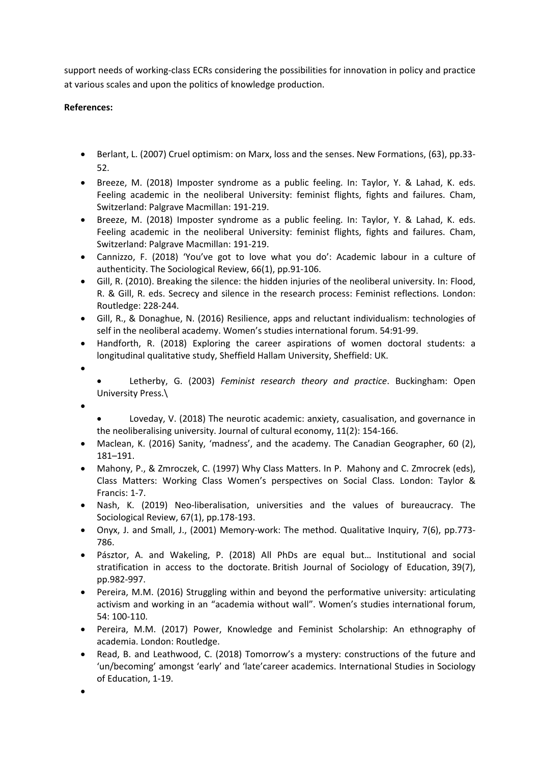support needs of working-class ECRs considering the possibilities for innovation in policy and practice at various scales and upon the politics of knowledge production.

## **References:**

- Berlant, L. (2007) Cruel optimism: on Marx, loss and the senses. New Formations, (63), pp.33- 52.
- Breeze, M. (2018) Imposter syndrome as <sup>a</sup> public feeling. In: Taylor, Y. & Lahad, K. eds. Feeling academic in the neoliberal University: feminist flights, fights and failures. Cham, Switzerland: Palgrave Macmillan: 191-219.
- Breeze, M. (2018) Imposter syndrome as <sup>a</sup> public feeling. In: Taylor, Y. & Lahad, K. eds. Feeling academic in the neoliberal University: feminist flights, fights and failures. Cham, Switzerland: Palgrave Macmillan: 191-219.
- Cannizzo, F. (2018) 'You've got to love what you do': Academic labour in <sup>a</sup> culture of authenticity. The Sociological Review, 66(1), pp.91-106.
- Gill, R. (2010). Breaking the silence: the hidden injuries of the neoliberal university. In: Flood, R. & Gill, R. eds. Secrecy and silence in the research process: Feminist reflections. London: Routledge: 228-244.
- Gill, R., & Donaghue, N. (2016) Resilience, apps and reluctant individualism: technologies of self in the neoliberal academy. Women's studies international forum. 54:91-99.
- Handforth, R. (2018) Exploring the career aspirations of women doctoral students: <sup>a</sup> longitudinal qualitative study, Sheffield Hallam University, Sheffield: UK.
- e

c Letherby, G. (2003) *Feminist research theory and practice*. Buckingham: Open University Press.\

- 0
- e Loveday, V. (2018) The neurotic academic: anxiety, casualisation, and governance in the neoliberalising university. Journal of cultural economy, 11(2): 154-166.
- Maclean, K. (2016) Sanity, 'madness', and the academy. The Canadian Geographer, 60 (2), 181–191.
- Mahony, P., & Zmroczek, C. (1997) Why Class Matters. In P. Mahony and C. Zmrocrek (eds), Class Matters: Working Class Women's perspectives on Social Class. London: Taylor & Francis: 1-7.
- Nash, K. (2019) Neo-liberalisation, universities and the values of bureaucracy. The Sociological Review, 67(1), pp.178-193.
- Onyx, J. and Small, J., (2001) Memory-work: The method. Qualitative Inquiry, 7(6), pp.773- 786.
- Pásztor, A. and Wakeling, P. (2018) All PhDs are equal but… Institutional and social stratification in access to the doctorate. British Journal of Sociology of Education, 39(7), pp.982-997.
- Pereira, M.M. (2016) Struggling within and beyond the performative university: articulating activism and working in an "academia without wall". Women's studies international forum, 54: 100-110.
- Pereira, M.M. (2017) Power, Knowledge and Feminist Scholarship: An ethnography of academia. London: Routledge.
- Read, B. and Leathwood, C. (2018) Tomorrow's <sup>a</sup> mystery: constructions of the future and 'un/becoming' amongst 'early' and 'late'career academics. International Studies in Sociology of Education, 1-19.